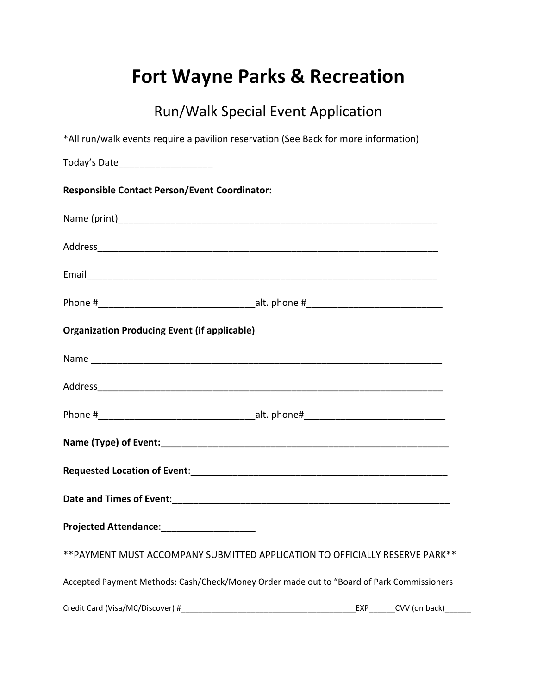## **Fort Wayne Parks & Recreation**

## Run/Walk Special Event Application

| *All run/walk events require a pavilion reservation (See Back for more information)       |
|-------------------------------------------------------------------------------------------|
| Today's Date______________________                                                        |
| <b>Responsible Contact Person/Event Coordinator:</b>                                      |
|                                                                                           |
|                                                                                           |
|                                                                                           |
|                                                                                           |
| <b>Organization Producing Event (if applicable)</b>                                       |
|                                                                                           |
|                                                                                           |
|                                                                                           |
|                                                                                           |
|                                                                                           |
|                                                                                           |
| Projected Attendance: __________________                                                  |
| ** PAYMENT MUST ACCOMPANY SUBMITTED APPLICATION TO OFFICIALLY RESERVE PARK**              |
| Accepted Payment Methods: Cash/Check/Money Order made out to "Board of Park Commissioners |
| CVV (on back)<br>EXP                                                                      |